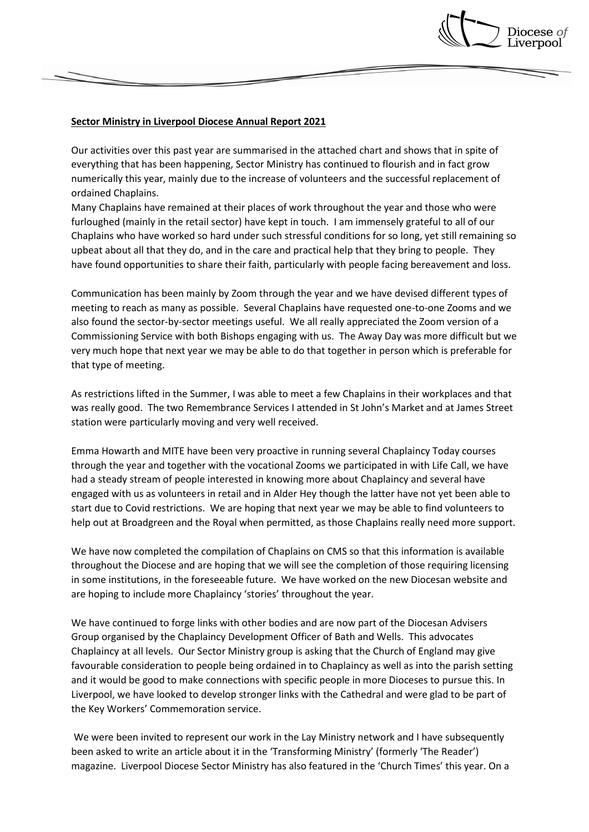

## **Sector Ministry in Liverpool Diocese Annual Report 2021**

Our activities over this past year are summarised in the attached chart and shows that in spite of everything that has been happening, Sector Ministry has continued to flourish and in fact grow numerically this year, mainly due to the increase of volunteers and the successful replacement of ordained Chaplains.

Many Chaplains have remained at their places of work throughout the year and those who were furloughed (mainly in the retail sector) have kept in touch. I am immensely grateful to all of our Chaplains who have worked so hard under such stressful conditions for so long, yet still remaining so upbeat about all that they do, and in the care and practical help that they bring to people. They have found opportunities to share their faith, particularly with people facing bereavement and loss.

Communication has been mainly by Zoom through the year and we have devised different types of meeting to reach as many as possible. Several Chaplains have requested one-to-one Zooms and we also found the sector-by-sector meetings useful. We all really appreciated the Zoom version of a Commissioning Service with both Bishops engaging with us. The Away Day was more difficult but we very much hope that next year we may be able to do that together in person which is preferable for that type of meeting.

As restrictions lifted in the Summer, I was able to meet a few Chaplains in their workplaces and that was really good. The two Remembrance Services I attended in St John's Market and at James Street station were particularly moving and very well received.

Emma Howarth and MITE have been very proactive in running several Chaplaincy Today courses through the year and together with the vocational Zooms we participated in with Life Call, we have had a steady stream of people interested in knowing more about Chaplaincy and several have engaged with us as volunteers in retail and in Alder Hey though the latter have not yet been able to start due to Covid restrictions. We are hoping that next year we may be able to find volunteers to help out at Broadgreen and the Royal when permitted, as those Chaplains really need more support.

We have now completed the compilation of Chaplains on CMS so that this information is available throughout the Diocese and are hoping that we will see the completion of those requiring licensing in some institutions, in the foreseeable future. We have worked on the new Diocesan website and are hoping to include more Chaplaincy 'stories' throughout the year.

We have continued to forge links with other bodies and are now part of the Diocesan Advisers Group organised by the Chaplaincy Development Officer of Bath and Wells. This advocates Chaplaincy at all levels. Our Sector Ministry group is asking that the Church of England may give favourable consideration to people being ordained in to Chaplaincy as well as into the parish setting and it would be good to make connections with specific people in more Dioceses to pursue this. In Liverpool, we have looked to develop stronger links with the Cathedral and were glad to be part of the Key Workers' Commemoration service.

We were been invited to represent our work in the Lay Ministry network and I have subsequently been asked to write an article about it in the 'Transforming Ministry' (formerly 'The Reader') magazine. Liverpool Diocese Sector Ministry has also featured in the 'Church Times' this year. On a